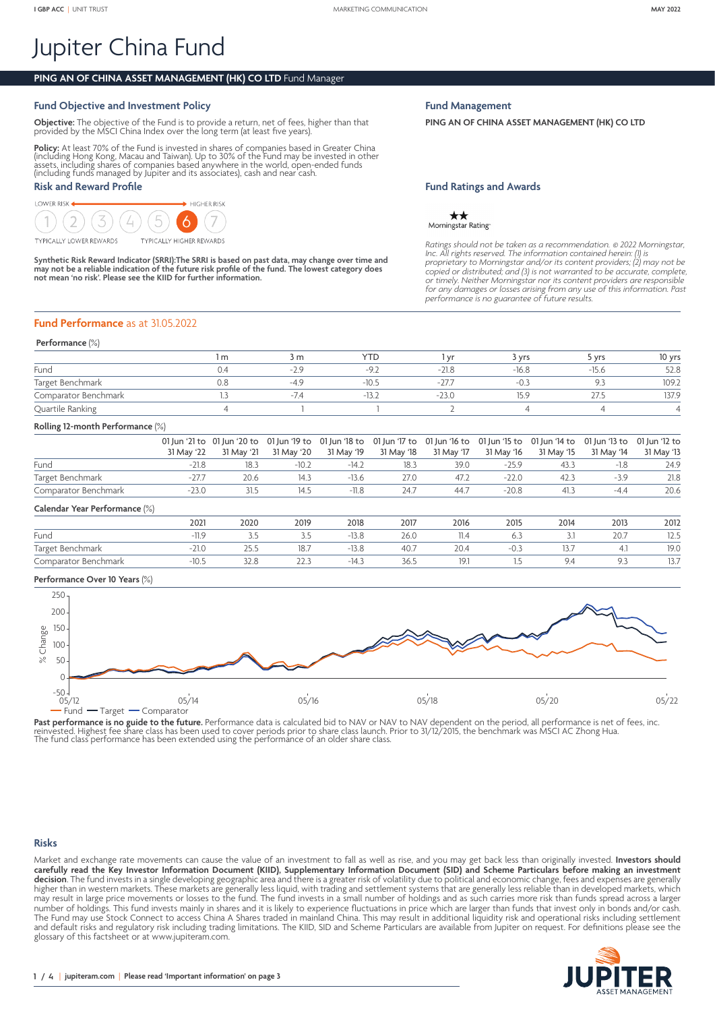# Jupiter China Fund

# **PING AN OF CHINA ASSET MANAGEMENT (HK) CO LTD** Fund Manager

# **Fund Objective and Investment Policy**

**Objective:** The objective of the Fund is to provide a return, net of fees, higher than that provided by the MSCI China Index over the long term (at least five years).

**Policy:** At least 70% of the Fund is invested in shares of companies based in Greater China<br>(including Hong Kong, Macau and Taiwan). Up to 30% of the Fund may be invested in other<br>assets, including shares of companies bas (including funds managed by Jupiter and its associates), cash and near cash.

# **Risk and Reward Profile**

LOWER RISK  $\blacktriangleright$  HIGHER RISK

**TYPICALLY LOWER REWARDS** 



**Synthetic Risk Reward Indicator (SRRI):The SRRI is based on past data, may change over time and may not be a reliable indication of the future risk profile of the fund. The lowest category does not mean 'no risk'. Please see the KIID for further information.**

# **Fund Performance** as at 31.05.2022

## **Performance** (%)

|                      | l m | 3 m    | <b>YTD</b> | Vf      | 3 Vrs       | ነ Vrs | 10 yrs |
|----------------------|-----|--------|------------|---------|-------------|-------|--------|
| Fund                 |     | $-2.9$ | $-4$       | $-21.8$ | $-16.8$     | -15.6 | 52.8   |
| Target Benchmark     |     | $-4C$  | $-10.5$    |         | $-0.3$      |       | 109.2  |
| Comparator Benchmark |     | $-7.4$ | $-13.4$    | $-751$  | 250<br>15.9 |       | 137.9  |
| Quartile Ranking     |     |        |            |         |             |       |        |

# **Rolling 12-month Performance** (%)

|                               | 31 May '22 | 01 Jun '21 to 01 Jun '20 to<br>31 May '21 | 01 Jun '19 to<br>31 May '20 | 31 May '19 | 31 May '18 | 01 Jun '18 to 01 Jun '17 to 01 Jun '16 to 01 Jun '15 to 01 Jun '14 to 01 Jun '13 to 01 Jun '12 to<br>31 May '17 | 31 May '16 | 31 May '15 | 31 May '14 | 31 May '13 |
|-------------------------------|------------|-------------------------------------------|-----------------------------|------------|------------|-----------------------------------------------------------------------------------------------------------------|------------|------------|------------|------------|
| Fund                          | $-21.8$    | 18.3                                      | $-10.2$                     | $-14.2$    | 18.3       | 39.0                                                                                                            | $-25.9$    | 43.3       | $-1.8$     | 24.9       |
| Target Benchmark              | $-27.7$    | 20.6                                      | 14.3                        | $-13.6$    | 27.0       | 47.2                                                                                                            | $-22.0$    | 42.3       | $-3.9$     | 21.8       |
| Comparator Benchmark          | $-23.0$    | 31.5                                      | 14.5                        | $-11.8$    | 24.7       | 44.7                                                                                                            | $-20.8$    | 41.3       | $-4.4$     | 20.6       |
| Calendar Year Performance (%) |            |                                           |                             |            |            |                                                                                                                 |            |            |            |            |
|                               | 2021       | 2020                                      | 2019                        | 2018       | 2017       | 2016                                                                                                            | 2015       | 2014       | 2013       | 2012       |
| Fund                          | $-11.9$    | 3.5                                       | 3.5                         | $-13.8$    | 26.0       | 11.4                                                                                                            | 6.3        | 3.1        | 20.7       | 12.5       |
| Target Benchmark              | $-21.0$    | 25.5                                      | 18.7                        | $-13.8$    | 40.7       | 20.4                                                                                                            | $-0.3$     | 13.7       | 4.1        | 19.0       |

Comparator Benchmark -10.5 32.8 22.3 -14.3 36.5 19.1 1.5 9.4 9.3 13.7

## **Performance Over 10 Years** (%)



**Past performance is no guide to the future.** Performance data is calculated bid to NAV or NAV to NAV dependent on the period, all performance is net of fees, inc.<br>reinvested. Highest fee share class has been used to cover

# **Risks**

Market and exchange rate movements can cause the value of an investment to fall as well as rise, and you may get back less than originally invested. **Investors should carefully read the Key Investor Information Document (KIID), Supplementary Information Document (SID) and Scheme Particulars before making an investment decision**. The fund invests in a single developing geographic area and there is a greater risk of volatility due to political and economic change, fees and expenses are generally higher than in western markets. These markets are generally less liquid, with trading and settlement systems that are generally less reliable than in developed markets, which may result in large price movements or losses to the fund. The fund invests in a small number of holdings and as such carries more risk than funds spread across a larger number of holdings. This fund invests mainly in shares and it is likely to experience fluctuations in price which are larger than funds that invest only in bonds and/or cash. The Fund may use Stock Connect to access China A Shares traded in mainland China. This may result in additional liquidity risk and operational risks including settlement and default risks and regulatory risk including trading limitations. The KIID, SID and Scheme Particulars are available from Jupiter on request. For definitions please see the glossary of this factsheet or at <www.jupiteram.com>.



# **Fund Management**

**PING AN OF CHINA ASSET MANAGEMENT (HK) CO LTD**

# **Fund Ratings and Awards**

 $\star\star$ Morningstar Rating

*Ratings should not be taken as a recommendation.* © *2022 Morningstar, Inc. All rights reserved. The information contained herein: (1) is proprietary to Morningstar and/or its content providers; (2) may not be*  copied or distributed; and (3) is not warranted to be accurate, complete,<br>or timely. Neither Morningstar nor its content providers are responsible<br>for any damages or losses arising from any use of this information. Past<br>pe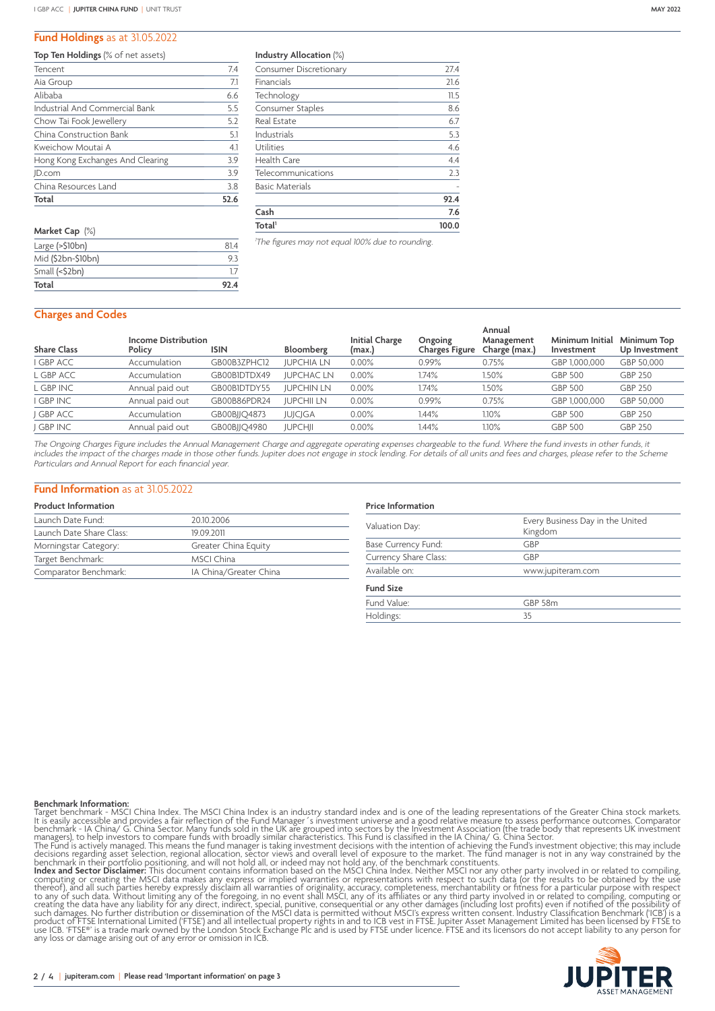#### **Fund Holdings** as at 31.05.2022

#### **Top Ten Holdings** (% of net assets)

| Tencent                          | 7.4  |
|----------------------------------|------|
| Aia Group                        | 7.1  |
| Alibaba                          | 6.6  |
| Industrial And Commercial Bank   | 5.5  |
| Chow Tai Fook Jewellery          | 5.2  |
| China Construction Bank          | 5.1  |
| Kweichow Moutai A                | 4.1  |
| Hong Kong Exchanges And Clearing | 3.9  |
| JD.com                           | 3.9  |
| China Resources Land             | 3.8  |
| Total                            | 52.6 |

| 814  |
|------|
| 93   |
| 17   |
| 92.4 |
|      |

**Industry Allocation** (%)

| Total <sup>1</sup>            | 100.0 |
|-------------------------------|-------|
| Cash                          | 7.6   |
|                               | 92.4  |
| <b>Basic Materials</b>        |       |
| Telecommunications            | 2.3   |
| Health Care                   | 4.4   |
| Utilities                     | 4.6   |
| Industrials                   | 5.3   |
| <b>Real Estate</b>            | 6.7   |
| Consumer Staples              | 8.6   |
| Technology                    | 11.5  |
| Financials                    | 21.6  |
| <b>Consumer Discretionary</b> | 27.4  |

*1 The figures may not equal 100% due to rounding.*

#### **Charges and Codes**

| <b>Share Class</b> | <b>Income Distribution</b><br>Policy | <b>ISIN</b>  | Bloomberg         | <b>Initial Charge</b><br>(max.) | Ongoing<br>Charges Figure | Annual<br>Management<br>Charge (max.) | Minimum Initial<br>Investment | Minimum Top<br>Up Investment |
|--------------------|--------------------------------------|--------------|-------------------|---------------------------------|---------------------------|---------------------------------------|-------------------------------|------------------------------|
| I GBP ACC          | Accumulation                         | GB00B3ZPHC12 | <b>JUPCHIA LN</b> | 0.00%                           | 0.99%                     | 0.75%                                 | GBP 1,000,000                 | GBP 50.000                   |
| L GBP ACC          | Accumulation                         | GB00BIDTDX49 | <b>JUPCHAC LN</b> | $0.00\%$                        | .74%                      | 1.50%                                 | <b>GBP 500</b>                | <b>GBP 250</b>               |
| L GBP INC          | Annual paid out                      | GB00BIDTDY55 | <b>JUPCHIN LN</b> | $0.00\%$                        | .74%                      | 1.50%                                 | <b>GBP 500</b>                | <b>GBP 250</b>               |
| I GBP INC          | Annual paid out                      | GB00B86PDR24 | <b>JUPCHII LN</b> | 0.00%                           | 0.99%                     | 0.75%                                 | GBP 1,000,000                 | GBP 50,000                   |
| J GBP ACC          | Accumulation                         | GB00BJJQ4873 | <b>JUJCJGA</b>    | 0.00%                           | 1.44%                     | 1.10%                                 | <b>GBP 500</b>                | <b>GBP 250</b>               |
| J GBP INC          | Annual paid out                      | GB00BJJQ4980 | <b>JUPCHJI</b>    | $0.00\%$                        | .44%                      | $1.10\%$                              | <b>GBP 500</b>                | <b>GBP 250</b>               |
|                    |                                      |              |                   |                                 |                           |                                       |                               |                              |

*The Ongoing Charges Figure includes the Annual Management Charge and aggregate operating expenses chargeable to the fund. Where the fund invests in other funds, it includes the impact of the charges made in those other funds. Jupiter does not engage in stock lending. For details of all units and fees and charges, please refer to the Scheme Particulars and Annual Report for each financial year.*

#### **Fund Information** as at 31.05.2022

## **Product Information**

| Launch Date Fund:        | 20.10.2006             |
|--------------------------|------------------------|
| Launch Date Share Class: | 19.09.2011             |
| Morningstar Category:    | Greater China Equity   |
| Target Benchmark:        | MSCI China             |
| Comparator Benchmark:    | IA China/Greater China |

# **Price Information**

| Valuation Day:        | Every Business Day in the United<br>Kingdom |  |  |  |
|-----------------------|---------------------------------------------|--|--|--|
| Base Currency Fund:   | GBP                                         |  |  |  |
| Currency Share Class: | GBP                                         |  |  |  |
| Available on:         | www.jupiteram.com                           |  |  |  |
| <b>Fund Size</b>      |                                             |  |  |  |
| Fund Value:           | GBP 58m                                     |  |  |  |
| Holdings:             | 35                                          |  |  |  |

**Benchmark information:**<br>Target benchmark - MSCI China Index. The MSCI China Index is an industry standard index and is one of the leading representations of the Greater China stock markets. It is easily accessible and pro

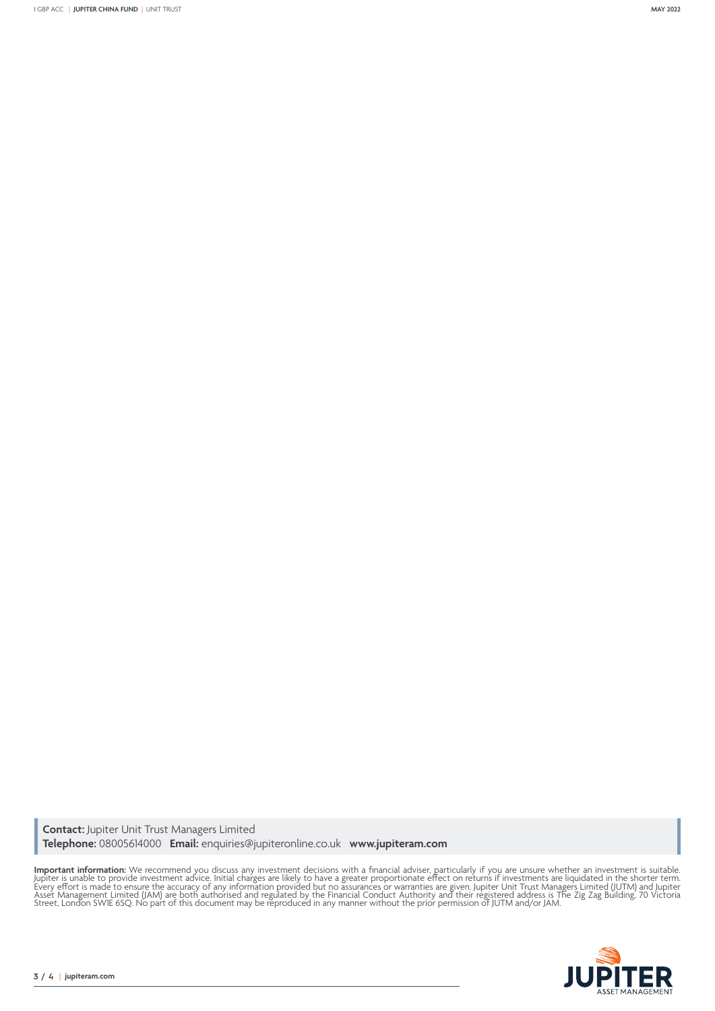**Contact:** Jupiter Unit Trust Managers Limited **Telephone:** 08005614000 **Email:** enquiries@jupiteronline.co.uk **www.jupiteram.com**

**Important information:** We recommend you discuss any investment decisions with a financial adviser, particularly if you are unsure whether an investment is suitable.<br>Jupiter is unable to provide investment advice. Initial